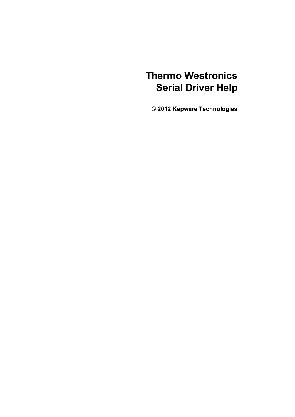# **Thermo Westronics Serial Driver Help**

**© 2012 Kepware Technologies**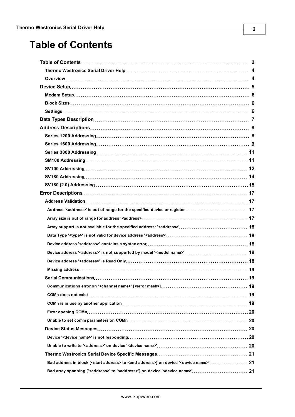# <span id="page-1-0"></span>**Table of Contents**

| Bad address in block [ <start address=""> to <end address="">] on device '<device name="">' 21</device></end></start> |  |
|-----------------------------------------------------------------------------------------------------------------------|--|
|                                                                                                                       |  |
|                                                                                                                       |  |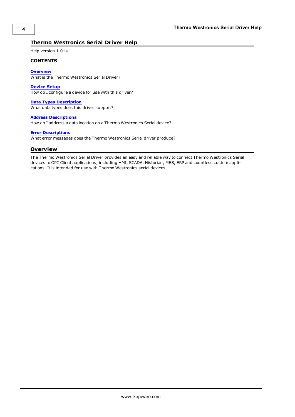#### <span id="page-3-0"></span>**Thermo Westronics Serial Driver Help**

Help version 1.014

#### **CONTENTS**

**[Overview](#page-3-1)** What is the Thermo Westronics Serial Driver?

**[Device](#page-4-0) [Setup](#page-4-0)** How do I configure a device for use with this driver?

**[Data](#page-6-0) [Types](#page-6-0) [Description](#page-6-0)** What data types does this driver support?

**[Address](#page-7-0) [Descriptions](#page-7-0)**

How do I address a data location on a Thermo Westronics Serial device?

#### **[Error](#page-16-0) [Descriptions](#page-16-0)**

<span id="page-3-1"></span>What error messages does the Thermo Westronics Serial driver produce?

#### **Overview**

The Thermo Westronics Serial Driver provides an easy and reliable way to connect Thermo Westronics Serial devices to OPC Client applications, including HMI, SCADA, Historian, MES, ERP and countless custom applications. It is intended for use with Thermo Westronics serial devices.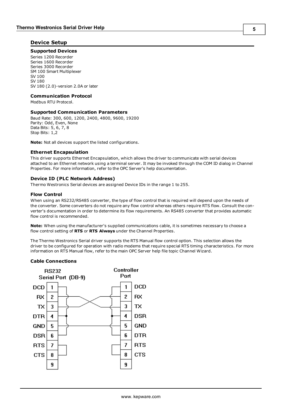#### <span id="page-4-0"></span>**Device Setup**

#### **Supported Devices**

Series 1200 Recorder Series 1600 Recorder Series 3000 Recorder SM 100 Smart Multiplexer SV 100 SV 180 SV 180 (2.0)-version 2.0A or later

#### **Communication Protocol**

Modbus RTU Protocol.

#### **Supported Communication Parameters**

Baud Rate: 300, 600, 1200, 2400, 4800, 9600, 19200 Parity: Odd, Even, None Data Bits: 5, 6, 7, 8 Stop Bits: 1,2

**Note:** Not all devices support the listed configurations.

#### <span id="page-4-2"></span>**Ethernet Encapsulation**

This driver supports Ethernet Encapsulation, which allows the driver to communicate with serial devices attached to an Ethernet network using a terminal server. It may be invoked through the COM ID dialog in Channel Properties. For more information, refer to the OPC Server's help documentation.

#### <span id="page-4-1"></span>**Device ID (PLC Network Address)**

Thermo Westronics Serial devices are assigned Device IDs in the range 1 to 255.

#### **Flow Control**

When using an RS232/RS485 converter, the type of flow control that is required will depend upon the needs of the converter. Some converters do not require any flow control whereas others require RTS flow. Consult the converter's documentation in order to determine its flow requirements. An RS485 converter that provides automatic flow control is recommended.

**Note:** When using the manufacturer's supplied communications cable, it is sometimes necessary to choose a flow control setting of **RTS** or **RTS Always** under the Channel Properties.

The Thermo Westronics Serial driver supports the RTS Manual flow control option. This selection allows the driver to be configured for operation with radio modems that require special RTS timing characteristics. For more information on RTS Manual flow, refer to the main OPC Server help file topic Channel Wizard.

#### **Cable Connections**

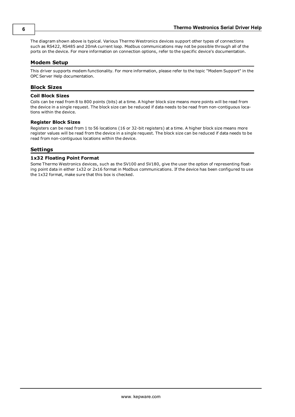The diagram shown above is typical. Various Thermo Westronics devices support other types of connections such as RS422, RS485 and 20mA current loop. Modbus communications may not be possible through all of the ports on the device. For more information on connection options, refer to the specific device's documentation.

#### <span id="page-5-0"></span>**Modem Setup**

This driver supports modem functionality. For more information, please refer to the topic "Modem Support" in the OPC Server Help documentation.

#### <span id="page-5-1"></span>**Block Sizes**

#### **Coil Block Sizes**

Coils can be read from 8 to 800 points (bits) at a time. A higher block size means more points will be read from the device in a single request. The block size can be reduced if data needs to be read from non-contiguous locations within the device.

#### **Register Block Sizes**

Registers can be read from 1 to 56 locations (16 or 32-bit registers) at a time. A higher block size means more register values will be read from the device in a single request. The block size can be reduced if data needs to be read from non-contiguous locations within the device.

#### <span id="page-5-2"></span>**Settings**

#### **1x32 Floating Point Format**

Some Thermo Westronics devices, such as the SV100 and SV180, give the user the option of representing floating point data in either 1x32 or 2x16 format in Modbus communications. If the device has been configured to use the 1x32 format, make sure that this box is checked.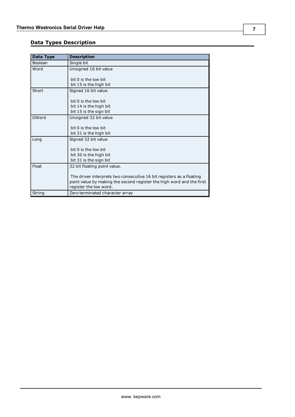# <span id="page-6-0"></span>**Data Types Description**

<span id="page-6-7"></span><span id="page-6-6"></span><span id="page-6-5"></span><span id="page-6-4"></span><span id="page-6-3"></span><span id="page-6-2"></span><span id="page-6-1"></span>

| Data Type    | <b>Description</b>                                                    |
|--------------|-----------------------------------------------------------------------|
| Boolean      | Single bit                                                            |
| Word         | Unsigned 16 bit value                                                 |
|              |                                                                       |
|              | $bit$ 0 is the low bit                                                |
|              | bit 15 is the high bit                                                |
| Short        | Signed 16 bit value                                                   |
|              |                                                                       |
|              | bit 0 is the low bit                                                  |
|              | bit 14 is the high bit                                                |
|              | bit 15 is the sign bit                                                |
| <b>DWord</b> | Unsigned 32 bit value                                                 |
|              | bit 0 is the low bit                                                  |
|              | bit 31 is the high bit                                                |
| Long         | Signed 32 bit value                                                   |
|              |                                                                       |
|              | bit 0 is the low bit                                                  |
|              | bit 30 is the high bit                                                |
|              | bit 31 is the sign bit                                                |
| Float        | 32 bit floating point value.                                          |
|              |                                                                       |
|              | The driver interprets two consecutive 16 bit registers as a floating  |
|              | point value by making the second register the high word and the first |
|              | register the low word.                                                |
| String       | Zero terminated character array                                       |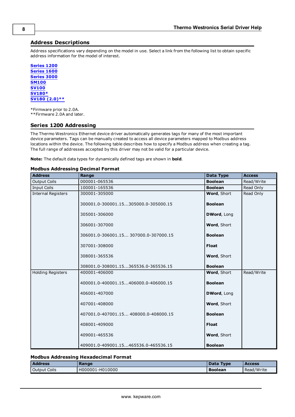#### <span id="page-7-0"></span>**Address Descriptions**

Address specifications vary depending on the model in use. Select a link from the following list to obtain specific address information for the model of interest.

**[Series](#page-7-1) [1200](#page-7-1) [Series](#page-8-0) [1600](#page-8-0) [Series](#page-10-0) [3000](#page-10-0) [SM100](#page-10-1) [SV100](#page-11-0) [SV180\\*](#page-13-0) [SV180](#page-14-0) [\(2.0\)\\*\\*](#page-14-0)**

\*Firmware prior to 2.0A. \*\*Firmware 2.0A and later.

#### <span id="page-7-1"></span>**Series 1200 Addressing**

The Thermo Westronics Ethernet device driver automatically generates tags for many of the most important device parameters. Tags can be manually created to access all device parameters mapped to Modbus address locations within the device. The following table describes how to specify a Modbus address when creating a tag. The full range of addresses accepted by this driver may not be valid for a particular device.

**Note:** The default data types for dynamically defined tags are shown in **bold**.

#### **Modbus Addressing Decimal Format**

| <b>Address</b>            | Range                                 | <b>Data Type</b> | <b>Access</b> |
|---------------------------|---------------------------------------|------------------|---------------|
| <b>Output Coils</b>       | 000001-065536                         | <b>Boolean</b>   | Read/Write    |
| <b>Input Coils</b>        | 100001-165536                         | <b>Boolean</b>   | Read Only     |
| <b>Internal Registers</b> | 300001-305000                         | Word, Short      | Read Only     |
|                           | 300001.0-300001.15305000.0-305000.15  | <b>Boolean</b>   |               |
|                           | 305001-306000                         | DWord, Long      |               |
|                           | 306001-307000                         | Word, Short      |               |
|                           | 306001.0-306001.15 307000.0-307000.15 | <b>Boolean</b>   |               |
|                           | 307001-308000                         | <b>Float</b>     |               |
|                           | 308001-365536                         | Word, Short      |               |
|                           | 308001.0-308001.15365536.0-365536.15  | <b>Boolean</b>   |               |
| <b>Holding Registers</b>  | 400001-406000                         | Word, Short      | Read/Write    |
|                           | 400001.0-400001.15406000.0-406000.15  | <b>Boolean</b>   |               |
|                           | 406001-407000                         | DWord, Long      |               |
|                           | 407001-408000                         | Word, Short      |               |
|                           | 407001.0-407001.15408000.0-408000.15  | <b>Boolean</b>   |               |
|                           | 408001-409000                         | <b>Float</b>     |               |
|                           | 409001-465536                         | Word, Short      |               |
|                           | 409001.0-409001.15465536.0-465536.15  | <b>Boolean</b>   |               |

#### **Modbus Addressing Hexadecimal Format**

| <b>Address</b>      | Range           | Data<br><b>Type</b> | <b>Access</b> |
|---------------------|-----------------|---------------------|---------------|
| <b>Output Coils</b> | H000001-H010000 | <b>Boolean</b>      | Read/Write    |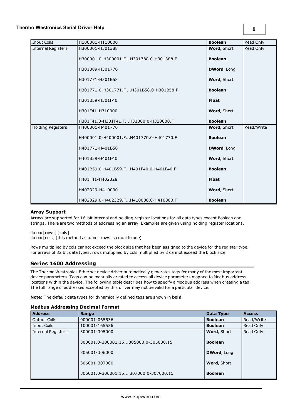| <b>Input Coils</b>        | H100001-H110000                        | <b>Boolean</b> | Read Only  |
|---------------------------|----------------------------------------|----------------|------------|
| <b>Internal Registers</b> | H300001-H301388                        | Word, Short    | Read Only  |
|                           | H300001.0-H300001.FH301388.0-H301388.F | <b>Boolean</b> |            |
|                           | H301389-H301770                        | DWord, Long    |            |
|                           | H301771-H301B58                        | Word, Short    |            |
|                           | H301771.0-H301771.FH301B58.0-H301B58.F | <b>Boolean</b> |            |
|                           | H301B59-H301F40                        | <b>Float</b>   |            |
|                           | H301F41-H310000                        | Word, Short    |            |
|                           | H301F41.0-H301F41.FH31000.0-H310000.F  | <b>Boolean</b> |            |
| <b>Holding Registers</b>  | H400001-H401770                        | Word, Short    | Read/Write |
|                           | H400001.0-H400001.FH401770.0-H401770.F | <b>Boolean</b> |            |
|                           | H401771-H401B58                        | DWord, Long    |            |
|                           | H401B59-H401F40                        | Word, Short    |            |
|                           | H401B59.0-H401B59.FH401F40.0-H401F40.F | <b>Boolean</b> |            |
|                           | H401F41-H402328                        | <b>Float</b>   |            |
|                           | H402329-H410000                        | Word, Short    |            |
|                           | H402329.0-H402329.FH410000.0-H410000.F | <b>Boolean</b> |            |

#### **Array Support**

Arrays are supported for 16-bit internal and holding register locations for all data types except Boolean and strings. There are two methods of addressing an array. Examples are given using holding register locations.

4xxxx [rows] [cols] 4xxxx [cols] (this method assumes rows is equal to one)

Rows multiplied by cols cannot exceed the block size that has been assigned to the device for the register type. For arrays of 32 bit data types, rows multiplied by cols multiplied by 2 cannot exceed the block size.

#### <span id="page-8-0"></span>**Series 1600 Addressing**

The Thermo Westronics Ethernet device driver automatically generates tags for many of the most important device parameters. Tags can be manually created to access all device parameters mapped to Modbus address locations within the device. The following table describes how to specify a Modbus address when creating a tag. The full range of addresses accepted by this driver may not be valid for a particular device.

**Note:** The default data types for dynamically defined tags are shown in **bold**.

#### **Modbus Addressing Decimal Format**

| <b>Address</b>            | Range                                 | Data Type          | <b>Access</b> |
|---------------------------|---------------------------------------|--------------------|---------------|
| Output Coils              | 000001-065536                         | <b>Boolean</b>     | Read/Write    |
| <b>Input Coils</b>        | 100001-165536                         | <b>Boolean</b>     | Read Only     |
| <b>Internal Registers</b> | 300001-305000                         | <b>Word, Short</b> | Read Only     |
|                           | 300001.0-300001.15305000.0-305000.15  | <b>Boolean</b>     |               |
|                           | 305001-306000                         | <b>DWord, Long</b> |               |
|                           | 306001-307000                         | <b>Word, Short</b> |               |
|                           | 306001.0-306001.15 307000.0-307000.15 | <b>Boolean</b>     |               |

**9**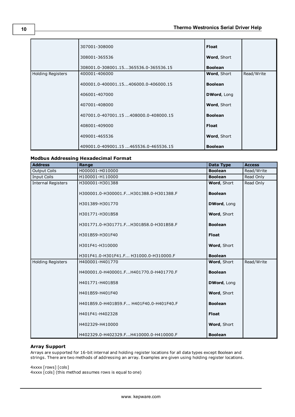#### **Thermo Westronics Serial Driver Help**

|                          | 307001-308000                        | <b>Float</b>       |            |
|--------------------------|--------------------------------------|--------------------|------------|
|                          | 308001-365536                        | <b>Word, Short</b> |            |
|                          | 308001.0-308001.15365536.0-365536.15 | <b>Boolean</b>     |            |
| <b>Holding Registers</b> | 400001-406000                        | <b>Word, Short</b> | Read/Write |
|                          | 400001.0-400001.15406000.0-406000.15 | <b>Boolean</b>     |            |
|                          | 406001-407000                        | DWord, Long        |            |
|                          | 407001-408000                        | <b>Word, Short</b> |            |
|                          | 407001.0-407001.15408000.0-408000.15 | <b>Boolean</b>     |            |
|                          | 408001-409000                        | Float              |            |
|                          | 409001-465536                        | Word, Short        |            |
|                          | 409001.0-409001.15465536.0-465536.15 | <b>Boolean</b>     |            |

#### **Modbus Addressing Hexadecimal Format**

| <b>Address</b>            | Range                                   | <b>Data Type</b>   | <b>Access</b> |
|---------------------------|-----------------------------------------|--------------------|---------------|
| <b>Output Coils</b>       | H000001-H010000                         | <b>Boolean</b>     | Read/Write    |
| <b>Input Coils</b>        | H100001-H110000                         | <b>Boolean</b>     | Read Only     |
| <b>Internal Registers</b> | H300001-H301388                         | Word, Short        | Read Only     |
|                           | H300001.0-H300001.FH301388.0-H301388.F  | <b>Boolean</b>     |               |
|                           | H301389-H301770                         | <b>DWord, Long</b> |               |
|                           | H301771-H301B58                         | Word, Short        |               |
|                           | H301771.0-H301771.FH301B58.0-H301B58.F  | <b>Boolean</b>     |               |
|                           | H301B59-H301F40                         | <b>Float</b>       |               |
|                           | H301F41-H310000                         | Word, Short        |               |
|                           | H301F41.0-H301F41.F H31000.0-H310000.F  | <b>Boolean</b>     |               |
| <b>Holding Registers</b>  | H400001-H401770                         | Word, Short        | Read/Write    |
|                           | H400001.0-H400001.FH401770.0-H401770.F  | <b>Boolean</b>     |               |
|                           | H401771-H401B58                         | <b>DWord, Long</b> |               |
|                           | H401B59-H401F40                         | Word, Short        |               |
|                           | H401B59.0-H401B59.F H401F40.0-H401F40.F | <b>Boolean</b>     |               |
|                           | H401F41-H402328                         | <b>Float</b>       |               |
|                           | H402329-H410000                         | Word, Short        |               |
|                           | H402329.0-H402329.FH410000.0-H410000.F  | <b>Boolean</b>     |               |

#### **Array Support**

Arrays are supported for 16-bit internal and holding register locations for all data types except Boolean and strings. There are two methods of addressing an array. Examples are given using holding register locations.

4xxxx [rows] [cols]

4xxxx [cols] (this method assumes rows is equal to one)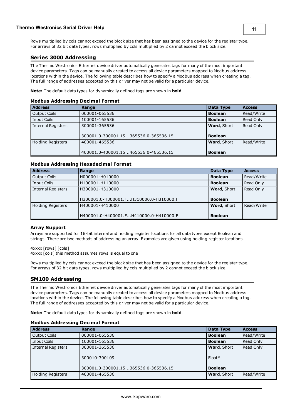Rows multiplied by cols cannot exceed the block size that has been assigned to the device for the register type. For arrays of 32 bit data types, rows multiplied by cols multiplied by 2 cannot exceed the block size.

#### <span id="page-10-0"></span>**Series 3000 Addressing**

The Thermo Westronics Ethernet device driver automatically generates tags for many of the most important device parameters. Tags can be manually created to access all device parameters mapped to Modbus address locations within the device. The following table describes how to specify a Modbus address when creating a tag. The full range of addresses accepted by this driver may not be valid for a particular device.

**Note:** The default data types for dynamically defined tags are shown in **bold**.

#### **Modbus Addressing Decimal Format**

| <b>Address</b>            | Range                                | Data Type          | <b>Access</b> |
|---------------------------|--------------------------------------|--------------------|---------------|
| <b>Output Coils</b>       | 000001-065536                        | <b>Boolean</b>     | Read/Write    |
| <b>Input Coils</b>        | 100001-165536                        | <b>Boolean</b>     | Read Only     |
| <b>Internal Registers</b> | 300001-365536                        | <b>Word, Short</b> | Read Only     |
|                           | 300001.0-300001.15365536.0-365536.15 | <b>Boolean</b>     |               |
| <b>Holding Registers</b>  | 400001-465536                        | Word, Short        | Read/Write    |
|                           | 400001.0-400001.15465536.0-465536.15 | <b>Boolean</b>     |               |

#### **Modbus Addressing Hexadecimal Format**

| <b>Address</b>           | Range                                  | Data Type      | <b>Access</b> |
|--------------------------|----------------------------------------|----------------|---------------|
| <b>Output Coils</b>      | H000001-H010000                        | <b>Boolean</b> | Read/Write    |
| Input Coils              | H100001-H110000                        | <b>Boolean</b> | Read Only     |
| Internal Registers       | H300001-H310000                        | Word, Short    | Read Only     |
|                          |                                        |                |               |
|                          | H300001.0-H300001.FH310000.0-H310000.F | <b>Boolean</b> |               |
| <b>Holding Registers</b> | H400001-H410000                        | Word, Short    | Read/Write    |
|                          |                                        |                |               |
|                          | H400001.0-H400001.FH410000.0-H410000.F | <b>Boolean</b> |               |

#### **Array Support**

Arrays are supported for 16-bit internal and holding register locations for all data types except Boolean and strings. There are two methods of addressing an array. Examples are given using holding register locations.

4xxxx [rows] [cols] 4xxxx [cols] this method assumes rows is equal to one

Rows multiplied by cols cannot exceed the block size that has been assigned to the device for the register type. For arrays of 32 bit data types, rows multiplied by cols multiplied by 2 cannot exceed the block size.

#### <span id="page-10-1"></span>**SM100 Addressing**

The Thermo Westronics Ethernet device driver automatically generates tags for many of the most important device parameters. Tags can be manually created to access all device parameters mapped to Modbus address locations within the device. The following table describes how to specify a Modbus address when creating a tag. The full range of addresses accepted by this driver may not be valid for a particular device.

**Note:** The default data types for dynamically defined tags are shown in **bold**.

| <b>Address</b>           | Range                                                                  | Data Type                                 | <b>Access</b> |
|--------------------------|------------------------------------------------------------------------|-------------------------------------------|---------------|
| Output Coils             | 000001-065536                                                          | <b>Boolean</b>                            | Read/Write    |
| Input Coils              | 100001-165536                                                          | <b>Boolean</b>                            | Read Only     |
| Internal Registers       | 300001-365536<br>300010-300109<br>300001.0-300001.15365536.0-365536.15 | Word, Short<br>$Float*$<br><b>Boolean</b> | Read Only     |
| <b>Holding Registers</b> | 400001-465536                                                          | Word, Short                               | Read/Write    |

#### **Modbus Addressing Decimal Format**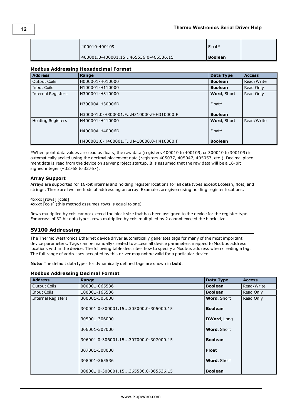| 400010-400109                        | Float*  |  |
|--------------------------------------|---------|--|
| 400001.0-400001.15465536.0-465536.15 | Boolean |  |

#### **Modbus Addressing Hexadecimal Format**

| <b>Address</b>            | Range                                  | Data Type          | <b>Access</b> |
|---------------------------|----------------------------------------|--------------------|---------------|
| <b>Output Coils</b>       | H000001-H010000                        | <b>Boolean</b>     | Read/Write    |
| Input Coils               | H100001-H110000                        | <b>Boolean</b>     | Read Only     |
| <b>Internal Registers</b> | H300001-H310000                        | <b>Word, Short</b> | Read Only     |
|                           | H30000A-H30006D                        | $Float*$           |               |
|                           | H300001.0-H300001.FH310000.0-H310000.F | <b>Boolean</b>     |               |
| <b>Holding Registers</b>  | H400001-H410000                        | <b>Word, Short</b> | Read/Write    |
|                           | H40000A-H40006D                        | $Float*$           |               |
|                           | H400001.0-H400001.FH410000.0-H410000.F | <b>Boolean</b>     |               |

\*When point data values are read as floats, the raw data (registers 400010 to 400109, or 300010 to 300109) is automatically scaled using the decimal placement data (registers 405037, 405047, 405057, etc.). Decimal placement data is read from the device on server project startup. It is assumed that the raw data will be a 16-bit signed integer (–32768 to 32767).

#### **Array Support**

Arrays are supported for 16-bit internal and holding register locations for all data types except Boolean, float, and strings. There are two methods of addressing an array. Examples are given using holding register locations.

4xxxx [rows] [cols] 4xxxx [cols] (this method assumes rows is equal to one)

Rows multiplied by cols cannot exceed the block size that has been assigned to the device for the register type. For arrays of 32 bit data types, rows multiplied by cols multiplied by 2 cannot exceed the block size.

#### <span id="page-11-0"></span>**SV100 Addressing**

The Thermo Westronics Ethernet device driver automatically generates tags for many of the most important device parameters. Tags can be manually created to access all device parameters mapped to Modbus address locations within the device. The following table describes how to specify a Modbus address when creating a tag. The full range of addresses accepted by this driver may not be valid for a particular device.

**Note:** The default data types for dynamically defined tags are shown in **bold**.

#### **Modbus Addressing Decimal Format**

| <b>Address</b>            | Range                                | Data Type      | <b>Access</b> |
|---------------------------|--------------------------------------|----------------|---------------|
| <b>Output Coils</b>       | 000001-065536                        | <b>Boolean</b> | Read/Write    |
| <b>Input Coils</b>        | 100001-165536                        | <b>Boolean</b> | Read Only     |
| <b>Internal Registers</b> | 300001-305000                        | Word, Short    | Read Only     |
|                           | 300001.0-300001.15305000.0-305000.15 | <b>Boolean</b> |               |
|                           | 305001-306000                        | DWord, Long    |               |
|                           | 306001-307000                        | Word, Short    |               |
|                           | 306001.0-306001.15307000.0-307000.15 | <b>Boolean</b> |               |
|                           | 307001-308000                        | <b>Float</b>   |               |
|                           | 308001-365536                        | Word, Short    |               |
|                           | 308001.0-308001.15365536.0-365536.15 | <b>Boolean</b> |               |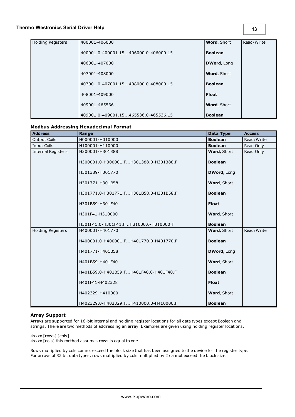| <b>Holding Registers</b> | 400001-406000                        | Word, Short        | Read/Write |
|--------------------------|--------------------------------------|--------------------|------------|
|                          | 400001.0-400001.15406000.0-406000.15 | <b>Boolean</b>     |            |
|                          | 406001-407000                        | DWord, Long        |            |
|                          | 407001-408000                        | <b>Word, Short</b> |            |
|                          | 407001.0-407001.15408000.0-408000.15 | <b>Boolean</b>     |            |
|                          | 408001-409000                        | <b>Float</b>       |            |
|                          | 409001-465536                        | <b>Word, Short</b> |            |
|                          | 409001.0-409001.15465536.0-465536.15 | <b>Boolean</b>     |            |

#### **Modbus Addressing Hexadecimal Format**

| <b>Address</b>            | Range                                  | Data Type      | <b>Access</b> |
|---------------------------|----------------------------------------|----------------|---------------|
| <b>Output Coils</b>       | H000001-H010000                        | <b>Boolean</b> | Read/Write    |
| <b>Input Coils</b>        | H100001-H110000                        | <b>Boolean</b> | Read Only     |
| <b>Internal Registers</b> | H300001-H301388                        | Word, Short    | Read Only     |
|                           | H300001.0-H300001.FH301388.0-H301388.F | <b>Boolean</b> |               |
|                           | H301389-H301770                        | DWord, Long    |               |
|                           | H301771-H301B58                        | Word, Short    |               |
|                           | H301771.0-H301771.FH301B58.0-H301B58.F | <b>Boolean</b> |               |
|                           | H301B59-H301F40                        | <b>Float</b>   |               |
|                           | H301F41-H310000                        | Word, Short    |               |
|                           | H301F41.0-H301F41.FH31000.0-H310000.F  | <b>Boolean</b> |               |
| <b>Holding Registers</b>  | H400001-H401770                        | Word, Short    | Read/Write    |
|                           | H400001.0-H400001.FH401770.0-H401770.F | <b>Boolean</b> |               |
|                           | H401771-H401B58                        | DWord, Long    |               |
|                           | H401B59-H401F40                        | Word, Short    |               |
|                           | H401B59.0-H401B59.FH401F40.0-H401F40.F | <b>Boolean</b> |               |
|                           | H401F41-H402328                        | <b>Float</b>   |               |
|                           | H402329-H410000                        | Word, Short    |               |
|                           | H402329.0-H402329.FH410000.0-H410000.F | <b>Boolean</b> |               |

#### **Array Support**

Arrays are supported for 16-bit internal and holding register locations for all data types except Boolean and strings. There are two methods of addressing an array. Examples are given using holding register locations.

4xxxx [rows] [cols]

4xxxx [cols] this method assumes rows is equal to one

Rows multiplied by cols cannot exceed the block size that has been assigned to the device for the register type. For arrays of 32 bit data types, rows multiplied by cols multiplied by 2 cannot exceed the block size.

**13**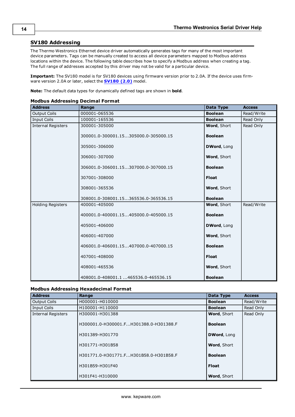#### <span id="page-13-0"></span>**SV180 Addressing**

The Thermo Westronics Ethernet device driver automatically generates tags for many of the most important device parameters. Tags can be manually created to access all device parameters mapped to Modbus address locations within the device. The following table describes how to specify a Modbus address when creating a tag. The full range of addresses accepted by this driver may not be valid for a particular device.

**Important:** The SV180 model is for SV180 devices using firmware version prior to 2.0A. If the device uses firmware version 2.0A or later, select the **[SV180](#page-14-0) [\(2.0\)](#page-14-0)** model.

**Note:** The default data types for dynamically defined tags are shown in **bold**.

#### **Modbus Addressing Decimal Format**

| <b>Address</b>            | Range                                | Data Type          | <b>Access</b> |
|---------------------------|--------------------------------------|--------------------|---------------|
| <b>Output Coils</b>       | 000001-065536                        | <b>Boolean</b>     | Read/Write    |
| <b>Input Coils</b>        | 100001-165536                        | <b>Boolean</b>     | Read Only     |
| <b>Internal Registers</b> | 300001-305000                        | Word, Short        | Read Only     |
|                           | 300001.0-300001.15305000.0-305000.15 | <b>Boolean</b>     |               |
|                           | 305001-306000                        | DWord, Long        |               |
|                           | 306001-307000                        | Word, Short        |               |
|                           | 306001.0-306001.15307000.0-307000.15 | <b>Boolean</b>     |               |
|                           | 307001-308000                        | <b>Float</b>       |               |
|                           | 308001-365536                        | Word, Short        |               |
|                           | 308001.0-308001.15365536.0-365536.15 | <b>Boolean</b>     |               |
| Holding Registers         | 400001-405000                        | Word, Short        | Read/Write    |
|                           | 400001.0-400001.15405000.0-405000.15 | <b>Boolean</b>     |               |
|                           | 405001-406000                        | <b>DWord, Long</b> |               |
|                           | 406001-407000                        | Word, Short        |               |
|                           | 406001.0-406001.15407000.0-407000.15 | <b>Boolean</b>     |               |
|                           | 407001-408000                        | <b>Float</b>       |               |
|                           | 408001-465536                        | Word, Short        |               |
|                           | 408001.0-408001.1465536.0-465536.15  | <b>Boolean</b>     |               |

#### **Modbus Addressing Hexadecimal Format**

| <b>Address</b>            | Range                                  | <b>Data Type</b>   | <b>Access</b> |
|---------------------------|----------------------------------------|--------------------|---------------|
| <b>Output Coils</b>       | H000001-H010000                        | <b>Boolean</b>     | Read/Write    |
| <b>Input Coils</b>        | H100001-H110000                        | <b>Boolean</b>     | Read Only     |
| <b>Internal Registers</b> | H300001-H301388                        | <b>Word, Short</b> | Read Only     |
|                           | H300001.0-H300001.FH301388.0-H301388.F | <b>Boolean</b>     |               |
|                           | H301389-H301770                        | DWord, Long        |               |
|                           | H301771-H301B58                        | <b>Word, Short</b> |               |
|                           | H301771.0-H301771.FH301B58.0-H301B58.F | <b>Boolean</b>     |               |
|                           | H301B59-H301F40                        | <b>Float</b>       |               |
|                           | H301F41-H310000                        | Word, Short        |               |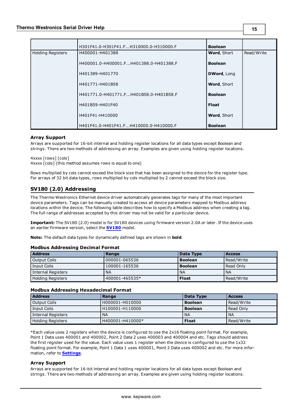|                   | H301F41.0-H301F41.FH310000.0-H310000.F | <b>Boolean</b>     |            |
|-------------------|----------------------------------------|--------------------|------------|
| Holding Registers | H400001-H401388                        | <b>Word, Short</b> | Read/Write |
|                   | H400001.0-H400001.FH401388.0-H401388.F | <b>Boolean</b>     |            |
|                   | H401389-H401770                        | DWord, Long        |            |
|                   | H401771-H401B58                        | Word, Short        |            |
|                   | H401771.0-H401771.FH401B58.0-H401B58.F | <b>Boolean</b>     |            |
|                   | H401B59-H401F40                        | <b>Float</b>       |            |
|                   | H401F41-H410000                        | <b>Word, Short</b> |            |
|                   | H401F41.0-H401F41.FH410000.0-H410000.F | <b>Boolean</b>     |            |

#### **Array Support**

Arrays are supported for 16-bit internal and holding register locations for all data types except Boolean and strings. There are two methods of addressing an array. Examples are given using holding register locations.

4xxxx [rows] [cols] 4xxxx [cols] (this method assumes rows is equal to one)

Rows multiplied by cols cannot exceed the block size that has been assigned to the device for the register type. For arrays of 32 bit data types, rows multiplied by cols multiplied by 2 cannot exceed the block size.

### <span id="page-14-0"></span>**SV180 (2.0) Addressing**

The Thermo Westronics Ethernet device driver automatically generates tags for many of the most important device parameters. Tags can be manually created to access all device parameters mapped to Modbus address locations within the device. The following table describes how to specify a Modbus address when creating a tag. The full range of addresses accepted by this driver may not be valid for a particular device.

**Important:** The SV180 (2.0) model is for SV180 devices using firmware version 2.0A or later. If the device uses an earlier firmware version, select the **[SV180](#page-13-0)** model.

**Note:** The default data types for dynamically defined tags are shown in **bold**.

#### **Modbus Addressing Decimal Format**

| <b>Address</b>     | Range             | Data Type      | <b>Access</b> |
|--------------------|-------------------|----------------|---------------|
| Output Coils       | 000001-065536     | <b>Boolean</b> | Read/Write    |
| Input Coils        | $100001 - 165536$ | <b>Boolean</b> | Read Only     |
| Internal Registers | <b>NA</b>         | <b>NA</b>      | <b>NA</b>     |
| Holding Registers  | 400001-465535*    | <b>Float</b>   | Read/Write    |

#### **Modbus Addressing Hexadecimal Format**

| <b>Address</b>     | Range            | Data Type      | l Access   |
|--------------------|------------------|----------------|------------|
| Output Coils       | H000001-H010000  | <b>Boolean</b> | Read/Write |
| Input Coils        | H100001-H110000  | <b>Boolean</b> | Read Only  |
| Internal Registers | <b>NA</b>        | <b>NA</b>      | ' NA       |
| Holding Registers  | H400001-H410000* | <b>Float</b>   | Read/Write |

\*Each value uses 2 registers when the device is configured to use the 2x16 floating point format. For example, Point 1 Data uses 400001 and 400002, Point 2 Data 2 uses 400003 and 400004 and etc. Tags should address the first register used for the value. Each value uses 1 register when the device is configured to use the 1x32 floating point format. For example, Point 1 Data 1 uses 400001, Point 2 Data uses 400002 and etc. For more information, refer to **[Settings](#page-5-2)**.

#### **Array Support**

Arrays are supported for 16-bit internal and holding register locations for all data types except Boolean and strings. There are two methods of addressing an array. Examples are given using holding register locations.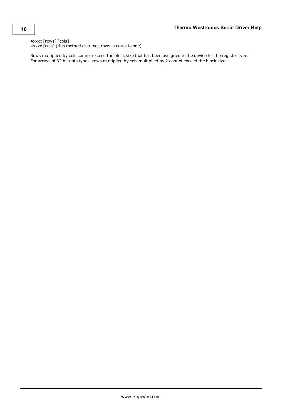4xxxx [rows] [cols] 4xxxx [cols] (this method assumes rows is equal to one)

Rows multiplied by cols cannot exceed the block size that has been assigned to the device for the register type. For arrays of 32 bit data types, rows multiplied by cols multiplied by 2 cannot exceed the block size.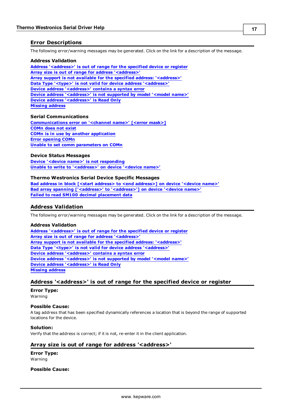#### <span id="page-16-0"></span>**Error Descriptions**

The following error/warning messages may be generated. Click on the link for a description of the message.

#### **Address Validation**

**[Address](#page-16-2) ['<address>'](#page-16-2) [is](#page-16-2) [out](#page-16-2) [of](#page-16-2) [range](#page-16-2) [for](#page-16-2) [the](#page-16-2) [specified](#page-16-2) [device](#page-16-2) [or](#page-16-2) [register](#page-16-2) [Array](#page-16-3) [size](#page-16-3) [is](#page-16-3) [out](#page-16-3) [of](#page-16-3) [range](#page-16-3) [for](#page-16-3) [address](#page-16-3) ['<address>'](#page-16-3) [Array](#page-17-0) [support](#page-17-0) [is](#page-17-0) [not](#page-17-0) [available](#page-17-0) [for](#page-17-0) [the](#page-17-0) [specified](#page-17-0) [address:](#page-17-0) ['<address>'](#page-17-0) [Data](#page-17-1) [Type](#page-17-1) ['<type>'](#page-17-1) [is](#page-17-1) [not](#page-17-1) [valid](#page-17-1) [for](#page-17-1) [device](#page-17-1) [address](#page-17-1) ['<address>'](#page-17-1) [Device](#page-17-2) [address](#page-17-2) ['<address>'](#page-17-2) [contains](#page-17-2) [a](#page-17-2) [syntax](#page-17-2) [error](#page-17-2) [Device](#page-17-3) [address](#page-17-3) ['<address>'](#page-17-3) [is](#page-17-3) [not](#page-17-3) [supported](#page-17-3) [by](#page-17-3) [model](#page-17-3) ['<model](#page-17-3) [name>'](#page-17-3) [Device](#page-17-4) [address](#page-17-4) ['<address>'](#page-17-4) [is](#page-17-4) [Read](#page-17-4) [Only](#page-17-4) [Missing](#page-18-0) [address](#page-18-0)**

#### **Serial Communications**

**[Communications](#page-18-2) [error](#page-18-2) [on](#page-18-2) ['<channel](#page-18-2) [name>'](#page-18-2) [\[<error](#page-18-2) [mask>\]](#page-18-2) [COMn](#page-18-3) [does](#page-18-3) [not](#page-18-3) [exist](#page-18-3) [COMn](#page-18-4) [is](#page-18-4) [in](#page-18-4) [use](#page-18-4) [by](#page-18-4) [another](#page-18-4) [application](#page-18-4) [Error](#page-19-0) [opening](#page-19-0) [COMn](#page-19-0) [Unable](#page-19-1) [to](#page-19-1) [set](#page-19-1) [comm](#page-19-1) [parameters](#page-19-1) [on](#page-19-1) [COMn](#page-19-1)**

#### **Device Status Messages**

**[Device](#page-19-3) ['<device](#page-19-3) [name>'](#page-19-3) [is](#page-19-3) [not](#page-19-3) [responding](#page-19-3) [Unable](#page-19-4) [to](#page-19-4) [write](#page-19-4) [to](#page-19-4) ['<address>'](#page-19-4) [on](#page-19-4) [device](#page-19-4) ['<device](#page-19-4) [name>'](#page-19-4)**

#### **Thermo Westronics Serial Device Specific Messages**

**[Bad](#page-20-1) [address](#page-20-1) [in](#page-20-1) [block](#page-20-1) [\[<start](#page-20-1) [address>](#page-20-1) [to](#page-20-1) [<end](#page-20-1) [address>\]](#page-20-1) [on](#page-20-1) [device](#page-20-1) ['<device](#page-20-1) [name>'](#page-20-1) [Bad](#page-20-2) [array](#page-20-2) [spanning](#page-20-2) [\['<address>'](#page-20-2) [to](#page-20-2) ['<address>'\]](#page-20-2) [on](#page-20-2) [device](#page-20-2) ['<device](#page-20-2) [name>'](#page-20-2) [Failed](#page-20-3) [to](#page-20-3) [read](#page-20-3) [SM100](#page-20-3) [decimal](#page-20-3) [placement](#page-20-3) [data](#page-20-3)**

#### <span id="page-16-1"></span>**Address Validation**

The following error/warning messages may be generated. Click on the link for a description of the message.

#### **Address Validation**

**[Address](#page-16-2) ['<address>'](#page-16-2) [is](#page-16-2) [out](#page-16-2) [of](#page-16-2) [range](#page-16-2) [for](#page-16-2) [the](#page-16-2) [specified](#page-16-2) [device](#page-16-2) [or](#page-16-2) [register](#page-16-2) [Array](#page-16-3) [size](#page-16-3) [is](#page-16-3) [out](#page-16-3) [of](#page-16-3) [range](#page-16-3) [for](#page-16-3) [address](#page-16-3) ['<address>'](#page-16-3) [Array](#page-17-0) [support](#page-17-0) [is](#page-17-0) [not](#page-17-0) [available](#page-17-0) [for](#page-17-0) [the](#page-17-0) [specified](#page-17-0) [address:](#page-17-0) ['<address>'](#page-17-0) [Data](#page-17-1) [Type](#page-17-1) ['<type>'](#page-17-1) [is](#page-17-1) [not](#page-17-1) [valid](#page-17-1) [for](#page-17-1) [device](#page-17-1) [address](#page-17-1) ['<address>'](#page-17-1) [Device](#page-17-2) [address](#page-17-2) ['<address>'](#page-17-2) [contains](#page-17-2) [a](#page-17-2) [syntax](#page-17-2) [error](#page-17-2) [Device](#page-17-3) [address](#page-17-3) ['<address>'](#page-17-3) [is](#page-17-3) [not](#page-17-3) [supported](#page-17-3) [by](#page-17-3) [model](#page-17-3) ['<model](#page-17-3) [name>'](#page-17-3) [Device](#page-17-4) [address](#page-17-4) ['<address>'](#page-17-4) [is](#page-17-4) [Read](#page-17-4) [Only](#page-17-4) [Missing](#page-18-0) [address](#page-18-0)**

#### <span id="page-16-2"></span>**Address '<address>' is out of range for the specified device or register**

#### **Error Type:** Warning

## **Possible Cause:**

A tag address that has been specified dynamically references a location that is beyond the range of supported locations for the device.

#### **Solution:**

<span id="page-16-3"></span>Verify that the address is correct; if it is not, re-enter it in the client application.

#### Array size is out of range for address '<address>'

#### **Error Type:** Warning

#### **Possible Cause:**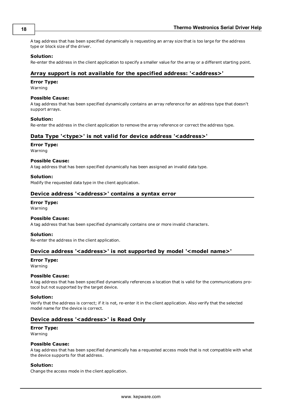A tag address that has been specified dynamically is requesting an array size that is too large for the address type or block size of the driver.

#### **Solution:**

<span id="page-17-0"></span>Re-enter the address in the client application to specify a smaller value for the array or a different starting point.

#### **Array support is not available for the specified address: '<address>'**

#### **Error Type:**

Warning

#### **Possible Cause:**

A tag address that has been specified dynamically contains an array reference for an address type that doesn't support arrays.

#### **Solution:**

<span id="page-17-1"></span>Re-enter the address in the client application to remove the array reference or correct the address type.

#### Data Type '<type>' is not valid for device address '<address>'

#### **Error Type:**

Warning

#### **Possible Cause:**

A tag address that has been specified dynamically has been assigned an invalid data type.

#### **Solution:**

<span id="page-17-2"></span>Modify the requested data type in the client application.

#### Device address '<address>' contains a syntax error

### **Error Type:**

Warning

#### **Possible Cause:**

A tag address that has been specified dynamically contains one or more invalid characters.

#### **Solution:**

<span id="page-17-3"></span>Re-enter the address in the client application.

#### Device address '<address>' is not supported by model '<model name>'

**Error Type:**

Warning

#### **Possible Cause:**

A tag address that has been specified dynamically references a location that is valid for the communications protocol but not supported by the target device.

#### **Solution:**

Verify that the address is correct; if it is not, re-enter it in the client application. Also verify that the selected model name for the device is correct.

#### <span id="page-17-4"></span>**Device address '<address>' is Read Only**

#### **Error Type:**

Warning

#### **Possible Cause:**

A tag address that has been specified dynamically has a requested access mode that is not compatible with what the device supports for that address.

#### **Solution:**

Change the access mode in the client application.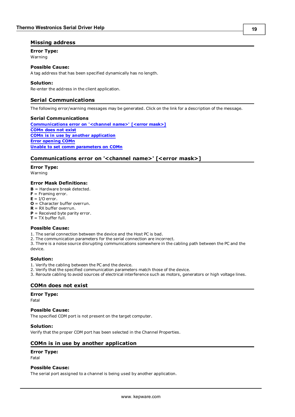#### <span id="page-18-0"></span>**Missing address**

**Error Type:**

#### Warning

#### **Possible Cause:**

A tag address that has been specified dynamically has no length.

#### **Solution:**

<span id="page-18-1"></span>Re-enter the address in the client application.

#### **Serial Communications**

The following error/warning messages may be generated. Click on the link for a description of the message.

#### **Serial Communications**

**[Communications](#page-18-2) [error](#page-18-2) [on](#page-18-2) ['<channel](#page-18-2) [name>'](#page-18-2) [\[<error](#page-18-2) [mask>\]](#page-18-2) [COMn](#page-18-3) [does](#page-18-3) [not](#page-18-3) [exist](#page-18-3) [COMn](#page-18-4) [is](#page-18-4) [in](#page-18-4) [use](#page-18-4) [by](#page-18-4) [another](#page-18-4) [application](#page-18-4) [Error](#page-19-0) [opening](#page-19-0) [COMn](#page-19-0) [Unable](#page-19-1) [to](#page-19-1) [set](#page-19-1) [comm](#page-19-1) [parameters](#page-19-1) [on](#page-19-1) [COMn](#page-19-1)**

#### <span id="page-18-2"></span>**Communications error on '<channel name>' [<error mask>]**

#### **Error Type:**

Warning

#### **Error Mask Definitions:**

- <span id="page-18-5"></span>**B** = Hardware break detected.
- **F** = Framing error.
- <span id="page-18-6"></span> $E = I/O$  error.
- **O** = Character buffer overrun.
- <span id="page-18-7"></span>**R** = RX buffer overrun.
- **P** = Received byte parity error.
- **T** = TX buffer full.

#### **Possible Cause:**

- 1. The serial connection between the device and the Host PC is bad.
- 2. The communication parameters for the serial connection are incorrect.
- 3. There is a noise source disrupting communications somewhere in the cabling path between the PC and the device.

#### **Solution:**

- 1. Verify the cabling between the PC and the device.
- 2. Verify that the specified communication parameters match those of the device.
- <span id="page-18-3"></span>3. Reroute cabling to avoid sources of electrical interference such as motors, generators or high voltage lines.

#### **COMn does not exist**

#### **Error Type:**

Fatal

## **Possible Cause:**

The specified COM port is not present on the target computer.

#### **Solution:**

<span id="page-18-4"></span>Verify that the proper COM port has been selected in the Channel Properties.

#### **COMn is in use by another application**

#### **Error Type:**

Fatal

#### **Possible Cause:**

The serial port assigned to a channel is being used by another application.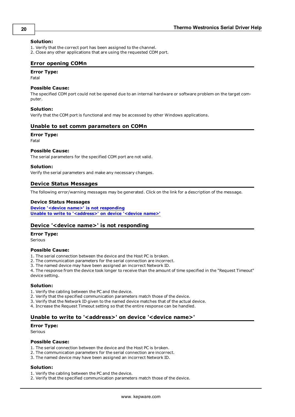#### **Solution:**

- 1. Verify that the correct port has been assigned to the channel.
- <span id="page-19-0"></span>2. Close any other applications that are using the requested COM port.

#### **Error opening COMn**

#### **Error Type:**

Fatal

#### **Possible Cause:**

The specified COM port could not be opened due to an internal hardware or software problem on the target computer.

#### **Solution:**

<span id="page-19-1"></span>Verify that the COM port is functional and may be accessed by other Windows applications.

#### **Unable to set comm parameters on COMn**

#### **Error Type:**

Fatal

#### **Possible Cause:**

The serial parameters for the specified COM port are not valid.

#### **Solution:**

<span id="page-19-2"></span>Verify the serial parameters and make any necessary changes.

#### **Device Status Messages**

The following error/warning messages may be generated. Click on the link for a description of the message.

#### **Device Status Messages**

**[Device](#page-19-3) ['<device](#page-19-3) [name>'](#page-19-3) [is](#page-19-3) [not](#page-19-3) [responding](#page-19-3) [Unable](#page-19-4) [to](#page-19-4) [write](#page-19-4) [to](#page-19-4) ['<address>'](#page-19-4) [on](#page-19-4) [device](#page-19-4) ['<device](#page-19-4) [name>'](#page-19-4)**

#### <span id="page-19-3"></span>**Device '<device name>' is not responding**

#### **Error Type:**

Serious

#### **Possible Cause:**

1. The serial connection between the device and the Host PC is broken.

2. The communication parameters for the serial connection are incorrect.

3. The named device may have been assigned an incorrect Network ID.

4. The response from the device took longer to receive than the amount of time specified in the "Request Timeout" device setting.

#### **Solution:**

- 1. Verify the cabling between the PC and the device.
- 2. Verify that the specified communication parameters match those of the device.
- 3. Verify that the Network ID given to the named device matches that of the actual device.
- <span id="page-19-4"></span>4. Increase the Request Timeout setting so that the entire response can be handled.

#### Unable to write to '<address>' on device '<device name>'

#### **Error Type:**

Serious

#### **Possible Cause:**

- 1. The serial connection between the device and the Host PC is broken.
- 2. The communication parameters for the serial connection are incorrect.
- 3. The named device may have been assigned an incorrect Network ID.

#### **Solution:**

- 1. Verify the cabling between the PC and the device.
- 2. Verify that the specified communication parameters match those of the device.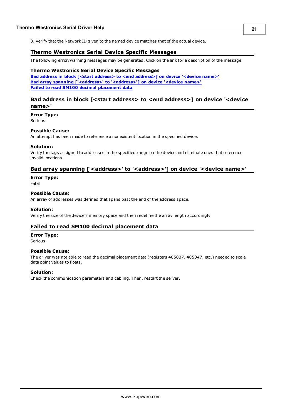<span id="page-20-0"></span>3. Verify that the Network ID given to the named device matches that of the actual device.

#### **Thermo Westronics Serial Device Specific Messages**

The following error/warning messages may be generated. Click on the link for a description of the message.

#### **Thermo Westronics Serial Device Specific Messages**

**[Bad](#page-20-1) [address](#page-20-1) [in](#page-20-1) [block](#page-20-1) [\[<start](#page-20-1) [address>](#page-20-1) [to](#page-20-1) [<end](#page-20-1) [address>\]](#page-20-1) [on](#page-20-1) [device](#page-20-1) ['<device](#page-20-1) [name>'](#page-20-1) [Bad](#page-20-2) [array](#page-20-2) [spanning](#page-20-2) [\['<address>'](#page-20-2) [to](#page-20-2) ['<address>'\]](#page-20-2) [on](#page-20-2) [device](#page-20-2) ['<device](#page-20-2) [name>'](#page-20-2) [Failed](#page-20-3) [to](#page-20-3) [read](#page-20-3) [SM100](#page-20-3) [decimal](#page-20-3) [placement](#page-20-3) [data](#page-20-3)**

#### <span id="page-20-1"></span>**Bad address in block [<start address> to <end address>] on device '<device name>'**

**Error Type:** Serious

#### **Possible Cause:**

An attempt has been made to reference a nonexistent location in the specified device.

#### **Solution:**

Verify the tags assigned to addresses in the specified range on the device and eliminate ones that reference invalid locations.

#### <span id="page-20-2"></span>Bad array spanning ['<address>' to '<address>'] on device '<device name>'

#### **Error Type:**

Fatal

#### **Possible Cause:**

An array of addresses was defined that spans past the end of the address space.

#### **Solution:**

<span id="page-20-3"></span>Verify the size of the device's memory space and then redefine the array length accordingly.

#### **Failed to read SM100 decimal placement data**

## **Error Type:**

Serious

#### **Possible Cause:**

The driver was not able to read the decimal placement data (registers 405037, 405047, etc.) needed to scale data point values to floats.

#### **Solution:**

Check the communication parameters and cabling. Then, restart the server.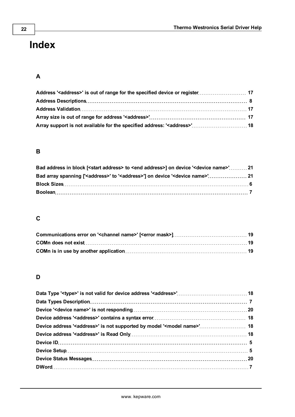# <span id="page-21-0"></span>**Index**

# **A**

| Array support is not available for the specified address: ' <address>' 18</address> |  |
|-------------------------------------------------------------------------------------|--|

# **B**

| Bad address in block [ <start address=""> to <end address="">] on device '<device name="">' 21</device></end></start> |  |
|-----------------------------------------------------------------------------------------------------------------------|--|
| Bad array spanning [' <address>' to '<address>'] on device '<device name="">' 21</device></address></address>         |  |
|                                                                                                                       |  |
|                                                                                                                       |  |

# **C**

# **D**

| Device address ' <address>' is not supported by model '<model name="">' 18</model></address> |  |
|----------------------------------------------------------------------------------------------|--|
|                                                                                              |  |
|                                                                                              |  |
|                                                                                              |  |
|                                                                                              |  |
|                                                                                              |  |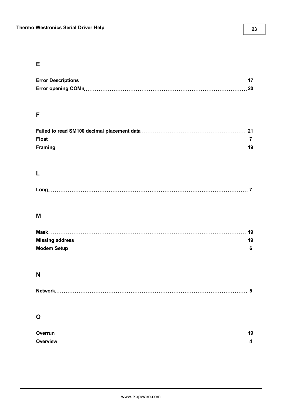# **E**

# **F**

## **L**

# **M**

### **N**

# **O**